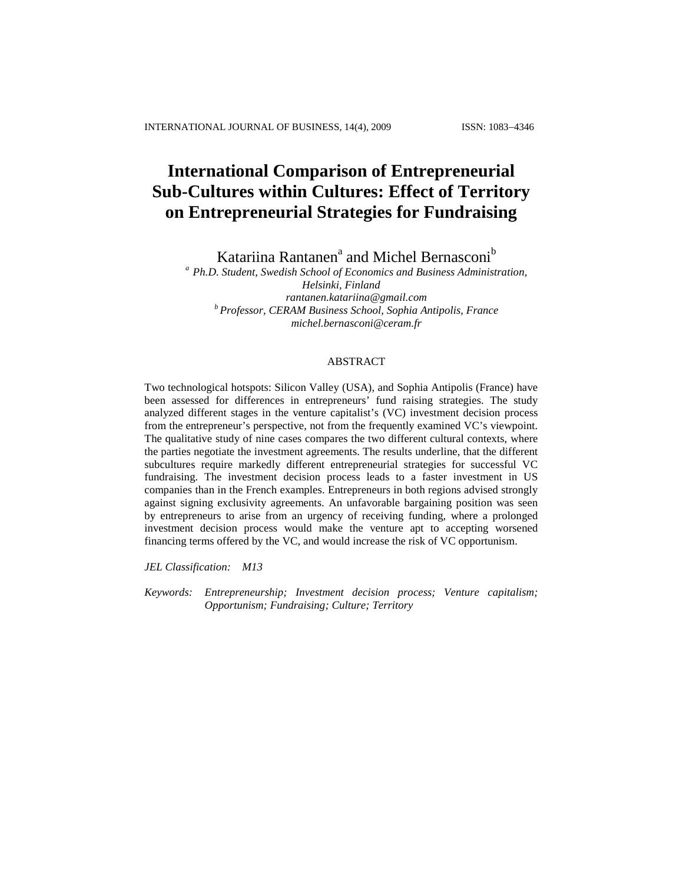# **International Comparison of Entrepreneurial Sub-Cultures within Cultures: Effect of Territory on Entrepreneurial Strategies for Fundraising**

Katariina Rantanen<sup>a</sup> and Michel Bernasconi<sup>b</sup>

*<sup>a</sup> Ph.D. Student, Swedish School of Economics and Business Administration, Helsinki, Finland [rantanen.katariina@gmail.com](mailto:rantanen.katariina@gmail.com) <sup>b</sup> Professor, CERAM Business School, Sophia Antipolis, France [michel.bernasconi@ceram.fr](mailto:michel.bernasconi@ceram.fr)*

### ABSTRACT

Two technological hotspots: Silicon Valley (USA), and Sophia Antipolis (France) have been assessed for differences in entrepreneurs' fund raising strategies. The study analyzed different stages in the venture capitalist's (VC) investment decision process from the entrepreneur's perspective, not from the frequently examined VC's viewpoint. The qualitative study of nine cases compares the two different cultural contexts, where the parties negotiate the investment agreements. The results underline, that the different subcultures require markedly different entrepreneurial strategies for successful VC fundraising. The investment decision process leads to a faster investment in US companies than in the French examples. Entrepreneurs in both regions advised strongly against signing exclusivity agreements. An unfavorable bargaining position was seen by entrepreneurs to arise from an urgency of receiving funding, where a prolonged investment decision process would make the venture apt to accepting worsened financing terms offered by the VC, and would increase the risk of VC opportunism.

*JEL Classification: M13*

*Keywords: Entrepreneurship; Investment decision process; Venture capitalism; Opportunism; Fundraising; Culture; Territory*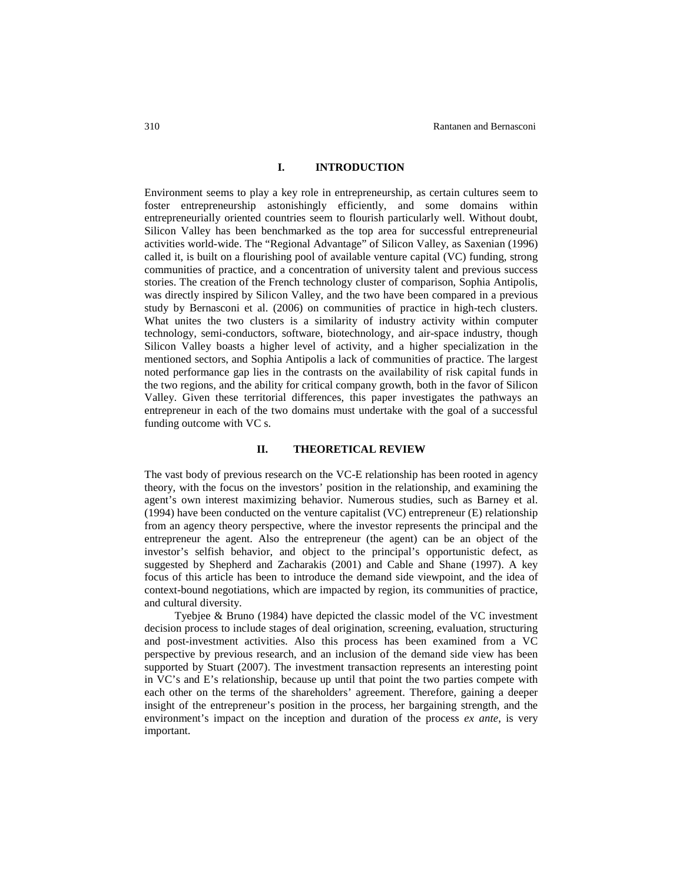## **I. INTRODUCTION**

Environment seems to play a key role in entrepreneurship, as certain cultures seem to foster entrepreneurship astonishingly efficiently, and some domains within entrepreneurially oriented countries seem to flourish particularly well. Without doubt, Silicon Valley has been benchmarked as the top area for successful entrepreneurial activities world-wide. The "Regional Advantage" of Silicon Valley, as Saxenian (1996) called it, is built on a flourishing pool of available venture capital (VC) funding, strong communities of practice, and a concentration of university talent and previous success stories. The creation of the French technology cluster of comparison, Sophia Antipolis, was directly inspired by Silicon Valley, and the two have been compared in a previous study by Bernasconi et al. (2006) on communities of practice in high-tech clusters. What unites the two clusters is a similarity of industry activity within computer technology, semi-conductors, software, biotechnology, and air-space industry, though Silicon Valley boasts a higher level of activity, and a higher specialization in the mentioned sectors, and Sophia Antipolis a lack of communities of practice. The largest noted performance gap lies in the contrasts on the availability of risk capital funds in the two regions, and the ability for critical company growth, both in the favor of Silicon Valley. Given these territorial differences, this paper investigates the pathways an entrepreneur in each of the two domains must undertake with the goal of a successful funding outcome with VC s.

#### **II. THEORETICAL REVIEW**

The vast body of previous research on the VC-E relationship has been rooted in agency theory, with the focus on the investors' position in the relationship, and examining the agent's own interest maximizing behavior. Numerous studies, such as Barney et al. (1994) have been conducted on the venture capitalist (VC) entrepreneur (E) relationship from an agency theory perspective, where the investor represents the principal and the entrepreneur the agent. Also the entrepreneur (the agent) can be an object of the investor's selfish behavior, and object to the principal's opportunistic defect, as suggested by Shepherd and Zacharakis (2001) and Cable and Shane (1997). A key focus of this article has been to introduce the demand side viewpoint, and the idea of context-bound negotiations, which are impacted by region, its communities of practice, and cultural diversity.

Tyebjee & Bruno (1984) have depicted the classic model of the VC investment decision process to include stages of deal origination, screening, evaluation, structuring and post-investment activities. Also this process has been examined from a VC perspective by previous research, and an inclusion of the demand side view has been supported by Stuart (2007). The investment transaction represents an interesting point in VC's and E's relationship, because up until that point the two parties compete with each other on the terms of the shareholders' agreement. Therefore, gaining a deeper insight of the entrepreneur's position in the process, her bargaining strength, and the environment's impact on the inception and duration of the process *ex ante*, is very important.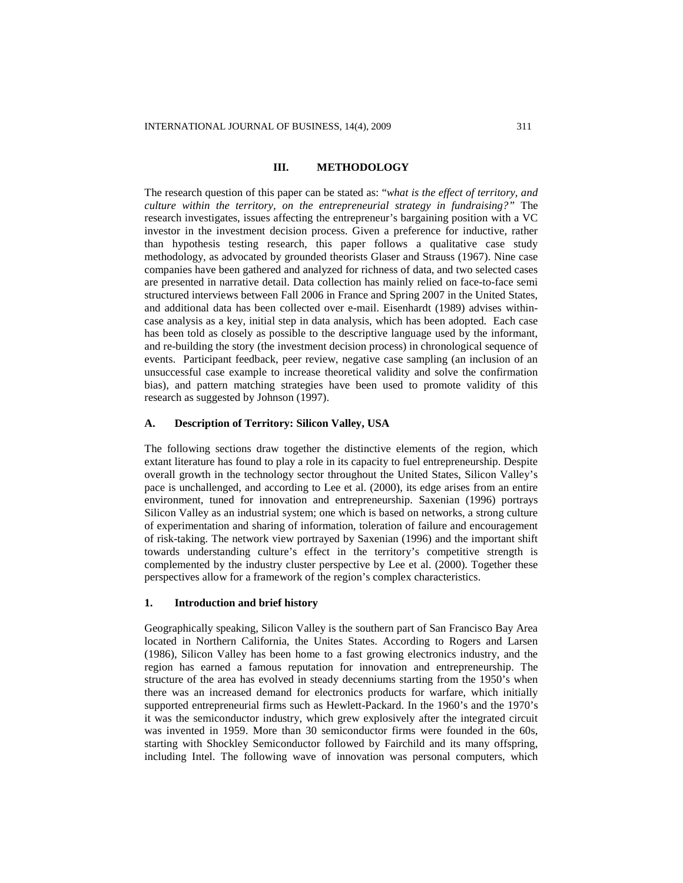## **III. METHODOLOGY**

The research question of this paper can be stated as: "*what is the effect of territory, and culture within the territory, on the entrepreneurial strategy in fundraising?"* The research investigates, issues affecting the entrepreneur's bargaining position with a VC investor in the investment decision process. Given a preference for inductive, rather than hypothesis testing research, this paper follows a qualitative case study methodology, as advocated by grounded theorists Glaser and Strauss (1967). Nine case companies have been gathered and analyzed for richness of data, and two selected cases are presented in narrative detail. Data collection has mainly relied on face-to-face semi structured interviews between Fall 2006 in France and Spring 2007 in the United States, and additional data has been collected over e-mail. Eisenhardt (1989) advises withincase analysis as a key, initial step in data analysis, which has been adopted. Each case has been told as closely as possible to the descriptive language used by the informant, and re-building the story (the investment decision process) in chronological sequence of events. Participant feedback, peer review, negative case sampling (an inclusion of an unsuccessful case example to increase theoretical validity and solve the confirmation bias), and pattern matching strategies have been used to promote validity of this research as suggested by Johnson (1997).

## **A. Description of Territory: Silicon Valley, USA**

The following sections draw together the distinctive elements of the region, which extant literature has found to play a role in its capacity to fuel entrepreneurship. Despite overall growth in the technology sector throughout the United States, Silicon Valley's pace is unchallenged, and according to Lee et al. (2000), its edge arises from an entire environment, tuned for innovation and entrepreneurship. Saxenian (1996) portrays Silicon Valley as an industrial system; one which is based on networks, a strong culture of experimentation and sharing of information, toleration of failure and encouragement of risk-taking. The network view portrayed by Saxenian (1996) and the important shift towards understanding culture's effect in the territory's competitive strength is complemented by the industry cluster perspective by Lee et al. (2000). Together these perspectives allow for a framework of the region's complex characteristics.

#### **1. Introduction and brief history**

Geographically speaking, Silicon Valley is the southern part of San Francisco Bay Area located in Northern California, the Unites States. According to Rogers and Larsen (1986), Silicon Valley has been home to a fast growing electronics industry, and the region has earned a famous reputation for innovation and entrepreneurship. The structure of the area has evolved in steady decenniums starting from the 1950's when there was an increased demand for electronics products for warfare, which initially supported entrepreneurial firms such as Hewlett-Packard. In the 1960's and the 1970's it was the semiconductor industry, which grew explosively after the integrated circuit was invented in 1959. More than 30 semiconductor firms were founded in the 60s, starting with Shockley Semiconductor followed by Fairchild and its many offspring, including Intel. The following wave of innovation was personal computers, which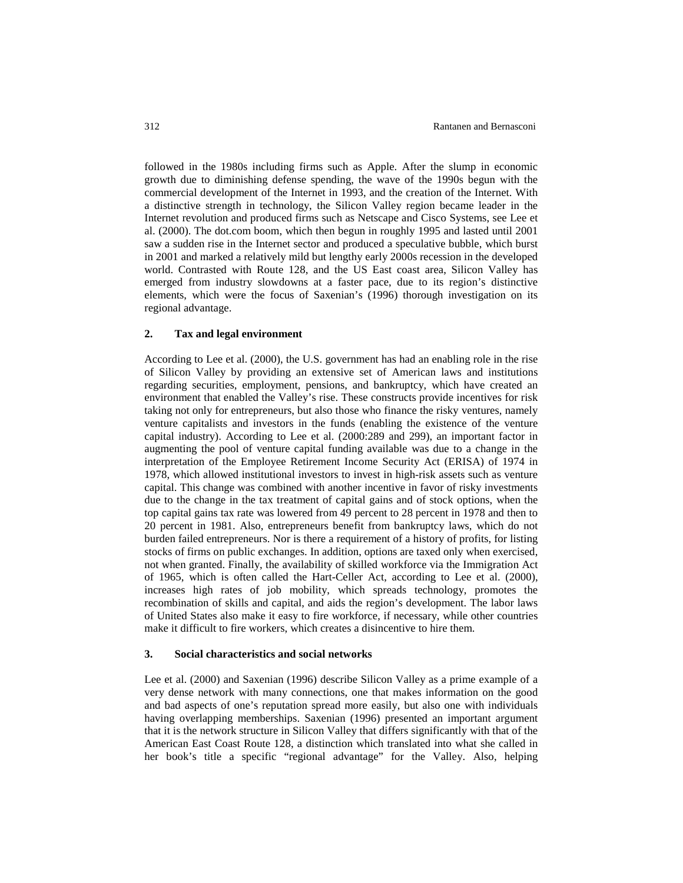followed in the 1980s including firms such as Apple. After the slump in economic growth due to diminishing defense spending, the wave of the 1990s begun with the commercial development of the Internet in 1993, and the creation of the Internet. With a distinctive strength in technology, the Silicon Valley region became leader in the Internet revolution and produced firms such as Netscape and Cisco Systems, see Lee et al. (2000). The dot.com boom, which then begun in roughly 1995 and lasted until 2001 saw a sudden rise in the Internet sector and produced a speculative bubble, which burst in 2001 and marked a relatively mild but lengthy early 2000s recession in the developed world. Contrasted with Route 128, and the US East coast area, Silicon Valley has emerged from industry slowdowns at a faster pace, due to its region's distinctive elements, which were the focus of Saxenian's (1996) thorough investigation on its regional advantage.

### **2. Tax and legal environment**

According to Lee et al. (2000), the U.S. government has had an enabling role in the rise of Silicon Valley by providing an extensive set of American laws and institutions regarding securities, employment, pensions, and bankruptcy, which have created an environment that enabled the Valley's rise. These constructs provide incentives for risk taking not only for entrepreneurs, but also those who finance the risky ventures, namely venture capitalists and investors in the funds (enabling the existence of the venture capital industry). According to Lee et al. (2000:289 and 299), an important factor in augmenting the pool of venture capital funding available was due to a change in the interpretation of the Employee Retirement Income Security Act (ERISA) of 1974 in 1978, which allowed institutional investors to invest in high-risk assets such as venture capital. This change was combined with another incentive in favor of risky investments due to the change in the tax treatment of capital gains and of stock options, when the top capital gains tax rate was lowered from 49 percent to 28 percent in 1978 and then to 20 percent in 1981. Also, entrepreneurs benefit from bankruptcy laws, which do not burden failed entrepreneurs. Nor is there a requirement of a history of profits, for listing stocks of firms on public exchanges. In addition, options are taxed only when exercised, not when granted. Finally, the availability of skilled workforce via the Immigration Act of 1965, which is often called the Hart-Celler Act, according to Lee et al. (2000), increases high rates of job mobility, which spreads technology, promotes the recombination of skills and capital, and aids the region's development. The labor laws of United States also make it easy to fire workforce, if necessary, while other countries make it difficult to fire workers, which creates a disincentive to hire them.

#### **3. Social characteristics and social networks**

Lee et al. (2000) and Saxenian (1996) describe Silicon Valley as a prime example of a very dense network with many connections, one that makes information on the good and bad aspects of one's reputation spread more easily, but also one with individuals having overlapping memberships. Saxenian (1996) presented an important argument that it is the network structure in Silicon Valley that differs significantly with that of the American East Coast Route 128, a distinction which translated into what she called in her book's title a specific "regional advantage" for the Valley. Also, helping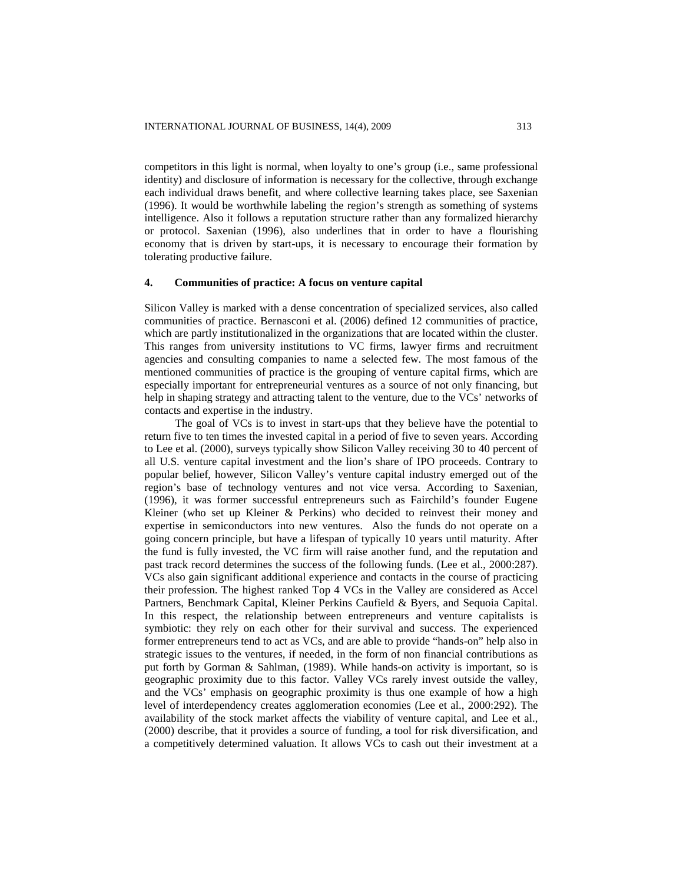competitors in this light is normal, when loyalty to one's group (i.e., same professional identity) and disclosure of information is necessary for the collective, through exchange each individual draws benefit, and where collective learning takes place, see Saxenian (1996). It would be worthwhile labeling the region's strength as something of systems intelligence. Also it follows a reputation structure rather than any formalized hierarchy or protocol. Saxenian (1996), also underlines that in order to have a flourishing economy that is driven by start-ups, it is necessary to encourage their formation by tolerating productive failure.

## **4. Communities of practice: A focus on venture capital**

Silicon Valley is marked with a dense concentration of specialized services, also called communities of practice. Bernasconi et al. (2006) defined 12 communities of practice, which are partly institutionalized in the organizations that are located within the cluster. This ranges from university institutions to VC firms, lawyer firms and recruitment agencies and consulting companies to name a selected few. The most famous of the mentioned communities of practice is the grouping of venture capital firms, which are especially important for entrepreneurial ventures as a source of not only financing, but help in shaping strategy and attracting talent to the venture, due to the VCs' networks of contacts and expertise in the industry.

The goal of VCs is to invest in start-ups that they believe have the potential to return five to ten times the invested capital in a period of five to seven years. According to Lee et al. (2000), surveys typically show Silicon Valley receiving 30 to 40 percent of all U.S. venture capital investment and the lion's share of IPO proceeds. Contrary to popular belief, however, Silicon Valley's venture capital industry emerged out of the region's base of technology ventures and not vice versa. According to Saxenian, (1996), it was former successful entrepreneurs such as Fairchild's founder Eugene Kleiner (who set up Kleiner & Perkins) who decided to reinvest their money and expertise in semiconductors into new ventures. Also the funds do not operate on a going concern principle, but have a lifespan of typically 10 years until maturity. After the fund is fully invested, the VC firm will raise another fund, and the reputation and past track record determines the success of the following funds. (Lee et al., 2000:287). VCs also gain significant additional experience and contacts in the course of practicing their profession. The highest ranked Top 4 VCs in the Valley are considered as Accel Partners, Benchmark Capital, Kleiner Perkins Caufield & Byers, and Sequoia Capital. In this respect, the relationship between entrepreneurs and venture capitalists is symbiotic: they rely on each other for their survival and success. The experienced former entrepreneurs tend to act as VCs, and are able to provide "hands-on" help also in strategic issues to the ventures, if needed, in the form of non financial contributions as put forth by Gorman & Sahlman, (1989). While hands-on activity is important, so is geographic proximity due to this factor. Valley VCs rarely invest outside the valley, and the VCs' emphasis on geographic proximity is thus one example of how a high level of interdependency creates agglomeration economies (Lee et al., 2000:292). The availability of the stock market affects the viability of venture capital, and Lee et al., (2000) describe, that it provides a source of funding, a tool for risk diversification, and a competitively determined valuation. It allows VCs to cash out their investment at a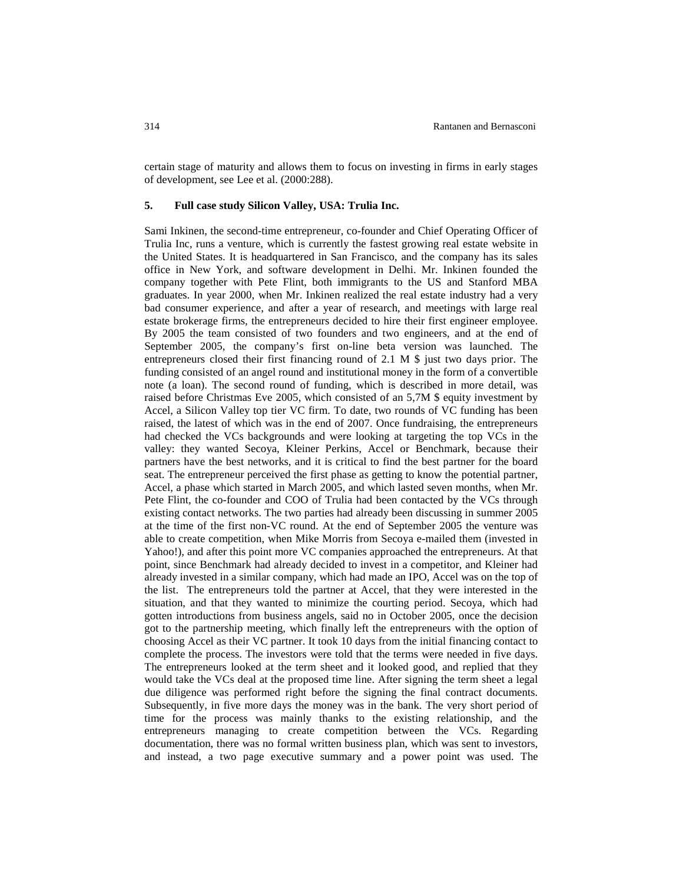certain stage of maturity and allows them to focus on investing in firms in early stages of development, see Lee et al. (2000:288).

#### **5. Full case study Silicon Valley, USA: Trulia Inc.**

Sami Inkinen, the second-time entrepreneur, co-founder and Chief Operating Officer of Trulia Inc, runs a venture, which is currently the fastest growing real estate website in the United States. It is headquartered in San Francisco, and the company has its sales office in New York, and software development in Delhi. Mr. Inkinen founded the company together with Pete Flint, both immigrants to the US and Stanford MBA graduates. In year 2000, when Mr. Inkinen realized the real estate industry had a very bad consumer experience, and after a year of research, and meetings with large real estate brokerage firms, the entrepreneurs decided to hire their first engineer employee. By 2005 the team consisted of two founders and two engineers, and at the end of September 2005, the company's first on-line beta version was launched. The entrepreneurs closed their first financing round of 2.1 M \$ just two days prior. The funding consisted of an angel round and institutional money in the form of a convertible note (a loan). The second round of funding, which is described in more detail, was raised before Christmas Eve 2005, which consisted of an 5,7M \$ equity investment by Accel, a Silicon Valley top tier VC firm. To date, two rounds of VC funding has been raised, the latest of which was in the end of 2007. Once fundraising, the entrepreneurs had checked the VCs backgrounds and were looking at targeting the top VCs in the valley: they wanted Secoya, Kleiner Perkins, Accel or Benchmark, because their partners have the best networks, and it is critical to find the best partner for the board seat. The entrepreneur perceived the first phase as getting to know the potential partner, Accel, a phase which started in March 2005, and which lasted seven months, when Mr. Pete Flint, the co-founder and COO of Trulia had been contacted by the VCs through existing contact networks. The two parties had already been discussing in summer 2005 at the time of the first non-VC round. At the end of September 2005 the venture was able to create competition, when Mike Morris from Secoya e-mailed them (invested in Yahoo!), and after this point more VC companies approached the entrepreneurs. At that point, since Benchmark had already decided to invest in a competitor, and Kleiner had already invested in a similar company, which had made an IPO, Accel was on the top of the list. The entrepreneurs told the partner at Accel, that they were interested in the situation, and that they wanted to minimize the courting period. Secoya, which had gotten introductions from business angels, said no in October 2005, once the decision got to the partnership meeting, which finally left the entrepreneurs with the option of choosing Accel as their VC partner. It took 10 days from the initial financing contact to complete the process. The investors were told that the terms were needed in five days. The entrepreneurs looked at the term sheet and it looked good, and replied that they would take the VCs deal at the proposed time line. After signing the term sheet a legal due diligence was performed right before the signing the final contract documents. Subsequently, in five more days the money was in the bank. The very short period of time for the process was mainly thanks to the existing relationship, and the entrepreneurs managing to create competition between the VCs. Regarding documentation, there was no formal written business plan, which was sent to investors, and instead, a two page executive summary and a power point was used. The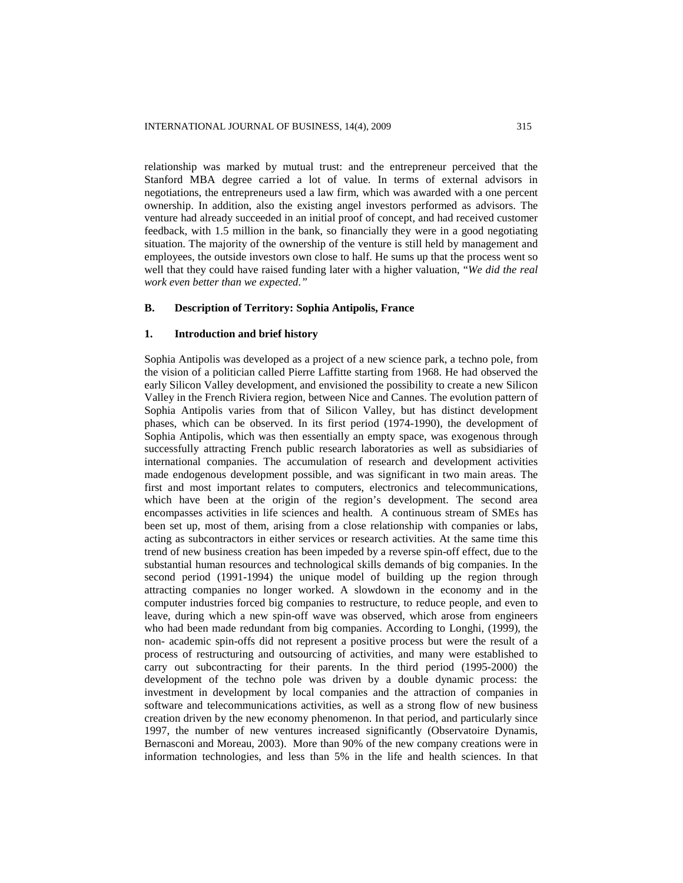relationship was marked by mutual trust: and the entrepreneur perceived that the Stanford MBA degree carried a lot of value. In terms of external advisors in negotiations, the entrepreneurs used a law firm, which was awarded with a one percent ownership. In addition, also the existing angel investors performed as advisors. The venture had already succeeded in an initial proof of concept, and had received customer feedback, with 1.5 million in the bank, so financially they were in a good negotiating situation. The majority of the ownership of the venture is still held by management and employees, the outside investors own close to half. He sums up that the process went so well that they could have raised funding later with a higher valuation, "*We did the real work even better than we expected."*

## **B. Description of Territory: Sophia Antipolis, France**

## **1. Introduction and brief history**

Sophia Antipolis was developed as a project of a new science park, a techno pole, from the vision of a politician called Pierre Laffitte starting from 1968. He had observed the early Silicon Valley development, and envisioned the possibility to create a new Silicon Valley in the French Riviera region, between Nice and Cannes. The evolution pattern of Sophia Antipolis varies from that of Silicon Valley, but has distinct development phases, which can be observed. In its first period (1974-1990), the development of Sophia Antipolis, which was then essentially an empty space, was exogenous through successfully attracting French public research laboratories as well as subsidiaries of international companies. The accumulation of research and development activities made endogenous development possible, and was significant in two main areas. The first and most important relates to computers, electronics and telecommunications, which have been at the origin of the region's development. The second area encompasses activities in life sciences and health. A continuous stream of SMEs has been set up, most of them, arising from a close relationship with companies or labs, acting as subcontractors in either services or research activities. At the same time this trend of new business creation has been impeded by a reverse spin-off effect, due to the substantial human resources and technological skills demands of big companies. In the second period (1991-1994) the unique model of building up the region through attracting companies no longer worked. A slowdown in the economy and in the computer industries forced big companies to restructure, to reduce people, and even to leave, during which a new spin-off wave was observed, which arose from engineers who had been made redundant from big companies. According to Longhi, (1999), the non- academic spin-offs did not represent a positive process but were the result of a process of restructuring and outsourcing of activities, and many were established to carry out subcontracting for their parents. In the third period (1995-2000) the development of the techno pole was driven by a double dynamic process: the investment in development by local companies and the attraction of companies in software and telecommunications activities, as well as a strong flow of new business creation driven by the new economy phenomenon. In that period, and particularly since 1997, the number of new ventures increased significantly (Observatoire Dynamis, Bernasconi and Moreau, 2003). More than 90% of the new company creations were in information technologies, and less than 5% in the life and health sciences. In that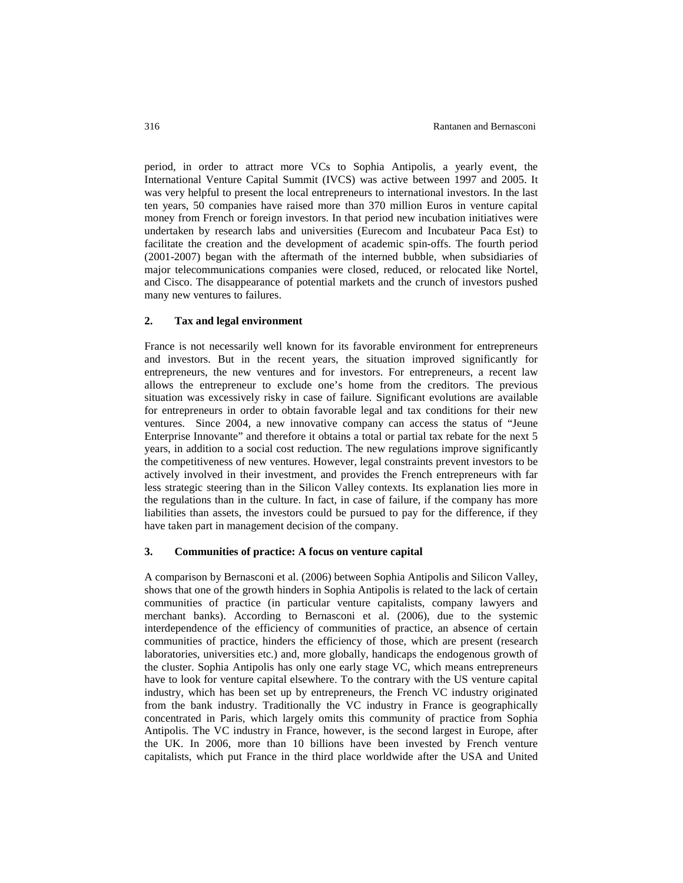period, in order to attract more VCs to Sophia Antipolis, a yearly event, the International Venture Capital Summit (IVCS) was active between 1997 and 2005. It was very helpful to present the local entrepreneurs to international investors. In the last ten years, 50 companies have raised more than 370 million Euros in venture capital money from French or foreign investors. In that period new incubation initiatives were undertaken by research labs and universities (Eurecom and Incubateur Paca Est) to facilitate the creation and the development of academic spin-offs. The fourth period (2001-2007) began with the aftermath of the interned bubble, when subsidiaries of major telecommunications companies were closed, reduced, or relocated like Nortel, and Cisco. The disappearance of potential markets and the crunch of investors pushed many new ventures to failures.

#### **2. Tax and legal environment**

France is not necessarily well known for its favorable environment for entrepreneurs and investors. But in the recent years, the situation improved significantly for entrepreneurs, the new ventures and for investors. For entrepreneurs, a recent law allows the entrepreneur to exclude one's home from the creditors. The previous situation was excessively risky in case of failure. Significant evolutions are available for entrepreneurs in order to obtain favorable legal and tax conditions for their new ventures. Since 2004, a new innovative company can access the status of "Jeune Enterprise Innovante" and therefore it obtains a total or partial tax rebate for the next 5 years, in addition to a social cost reduction. The new regulations improve significantly the competitiveness of new ventures. However, legal constraints prevent investors to be actively involved in their investment, and provides the French entrepreneurs with far less strategic steering than in the Silicon Valley contexts. Its explanation lies more in the regulations than in the culture. In fact, in case of failure, if the company has more liabilities than assets, the investors could be pursued to pay for the difference, if they have taken part in management decision of the company.

## **3. Communities of practice: A focus on venture capital**

A comparison by Bernasconi et al. (2006) between Sophia Antipolis and Silicon Valley, shows that one of the growth hinders in Sophia Antipolis is related to the lack of certain communities of practice (in particular venture capitalists, company lawyers and merchant banks). According to Bernasconi et al. (2006), due to the systemic interdependence of the efficiency of communities of practice, an absence of certain communities of practice, hinders the efficiency of those, which are present (research laboratories, universities etc.) and, more globally, handicaps the endogenous growth of the cluster. Sophia Antipolis has only one early stage VC, which means entrepreneurs have to look for venture capital elsewhere. To the contrary with the US venture capital industry, which has been set up by entrepreneurs, the French VC industry originated from the bank industry. Traditionally the VC industry in France is geographically concentrated in Paris, which largely omits this community of practice from Sophia Antipolis. The VC industry in France, however, is the second largest in Europe, after the UK. In 2006, more than 10 billions have been invested by French venture capitalists, which put France in the third place worldwide after the USA and United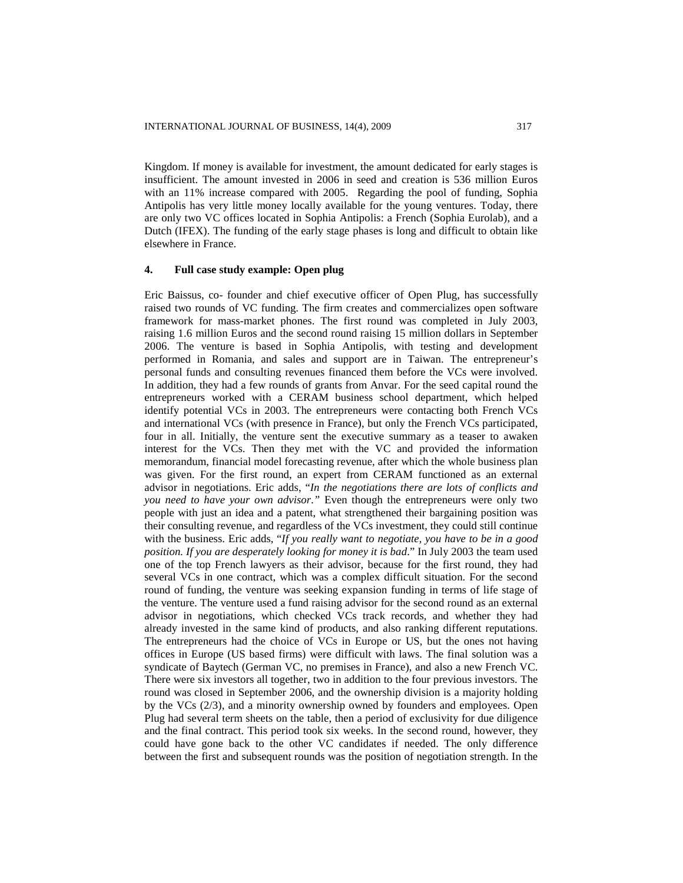Kingdom. If money is available for investment, the amount dedicated for early stages is insufficient. The amount invested in 2006 in seed and creation is 536 million Euros with an 11% increase compared with 2005. Regarding the pool of funding, Sophia Antipolis has very little money locally available for the young ventures. Today, there are only two VC offices located in Sophia Antipolis: a French (Sophia Eurolab), and a Dutch (IFEX). The funding of the early stage phases is long and difficult to obtain like elsewhere in France.

## **4. Full case study example: Open plug**

Eric Baissus, co- founder and chief executive officer of Open Plug, has successfully raised two rounds of VC funding. The firm creates and commercializes open software framework for mass-market phones. The first round was completed in July 2003, raising 1.6 million Euros and the second round raising 15 million dollars in September 2006. The venture is based in Sophia Antipolis, with testing and development performed in Romania, and sales and support are in Taiwan. The entrepreneur's personal funds and consulting revenues financed them before the VCs were involved. In addition, they had a few rounds of grants from Anvar. For the seed capital round the entrepreneurs worked with a CERAM business school department, which helped identify potential VCs in 2003. The entrepreneurs were contacting both French VCs and international VCs (with presence in France), but only the French VCs participated, four in all. Initially, the venture sent the executive summary as a teaser to awaken interest for the VCs. Then they met with the VC and provided the information memorandum, financial model forecasting revenue, after which the whole business plan was given. For the first round, an expert from CERAM functioned as an external advisor in negotiations. Eric adds, "*In the negotiations there are lots of conflicts and you need to have your own advisor*.*"* Even though the entrepreneurs were only two people with just an idea and a patent, what strengthened their bargaining position was their consulting revenue, and regardless of the VCs investment, they could still continue with the business. Eric adds, "*If you really want to negotiate, you have to be in a good position. If you are desperately looking for money it is bad*." In July 2003 the team used one of the top French lawyers as their advisor, because for the first round, they had several VCs in one contract, which was a complex difficult situation. For the second round of funding, the venture was seeking expansion funding in terms of life stage of the venture. The venture used a fund raising advisor for the second round as an external advisor in negotiations, which checked VCs track records, and whether they had already invested in the same kind of products, and also ranking different reputations. The entrepreneurs had the choice of VCs in Europe or US, but the ones not having offices in Europe (US based firms) were difficult with laws. The final solution was a syndicate of Baytech (German VC, no premises in France), and also a new French VC. There were six investors all together, two in addition to the four previous investors. The round was closed in September 2006, and the ownership division is a majority holding by the VCs (2/3), and a minority ownership owned by founders and employees. Open Plug had several term sheets on the table, then a period of exclusivity for due diligence and the final contract. This period took six weeks. In the second round, however, they could have gone back to the other VC candidates if needed. The only difference between the first and subsequent rounds was the position of negotiation strength. In the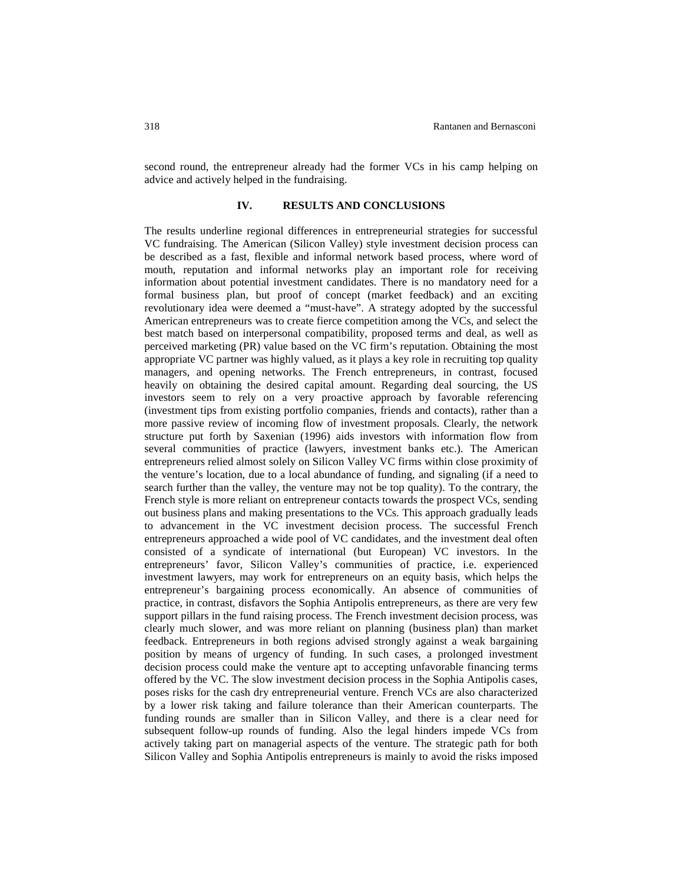second round, the entrepreneur already had the former VCs in his camp helping on advice and actively helped in the fundraising.

## **IV. RESULTS AND CONCLUSIONS**

The results underline regional differences in entrepreneurial strategies for successful VC fundraising. The American (Silicon Valley) style investment decision process can be described as a fast, flexible and informal network based process, where word of mouth, reputation and informal networks play an important role for receiving information about potential investment candidates. There is no mandatory need for a formal business plan, but proof of concept (market feedback) and an exciting revolutionary idea were deemed a "must-have". A strategy adopted by the successful American entrepreneurs was to create fierce competition among the VCs, and select the best match based on interpersonal compatibility, proposed terms and deal, as well as perceived marketing (PR) value based on the VC firm's reputation. Obtaining the most appropriate VC partner was highly valued, as it plays a key role in recruiting top quality managers, and opening networks. The French entrepreneurs, in contrast, focused heavily on obtaining the desired capital amount. Regarding deal sourcing, the US investors seem to rely on a very proactive approach by favorable referencing (investment tips from existing portfolio companies, friends and contacts), rather than a more passive review of incoming flow of investment proposals. Clearly, the network structure put forth by Saxenian (1996) aids investors with information flow from several communities of practice (lawyers, investment banks etc.). The American entrepreneurs relied almost solely on Silicon Valley VC firms within close proximity of the venture's location, due to a local abundance of funding, and signaling (if a need to search further than the valley, the venture may not be top quality). To the contrary, the French style is more reliant on entrepreneur contacts towards the prospect VCs, sending out business plans and making presentations to the VCs. This approach gradually leads to advancement in the VC investment decision process. The successful French entrepreneurs approached a wide pool of VC candidates, and the investment deal often consisted of a syndicate of international (but European) VC investors. In the entrepreneurs' favor, Silicon Valley's communities of practice, i.e. experienced investment lawyers, may work for entrepreneurs on an equity basis, which helps the entrepreneur's bargaining process economically. An absence of communities of practice, in contrast, disfavors the Sophia Antipolis entrepreneurs, as there are very few support pillars in the fund raising process. The French investment decision process, was clearly much slower, and was more reliant on planning (business plan) than market feedback. Entrepreneurs in both regions advised strongly against a weak bargaining position by means of urgency of funding. In such cases, a prolonged investment decision process could make the venture apt to accepting unfavorable financing terms offered by the VC. The slow investment decision process in the Sophia Antipolis cases, poses risks for the cash dry entrepreneurial venture. French VCs are also characterized by a lower risk taking and failure tolerance than their American counterparts. The funding rounds are smaller than in Silicon Valley, and there is a clear need for subsequent follow-up rounds of funding. Also the legal hinders impede VCs from actively taking part on managerial aspects of the venture. The strategic path for both Silicon Valley and Sophia Antipolis entrepreneurs is mainly to avoid the risks imposed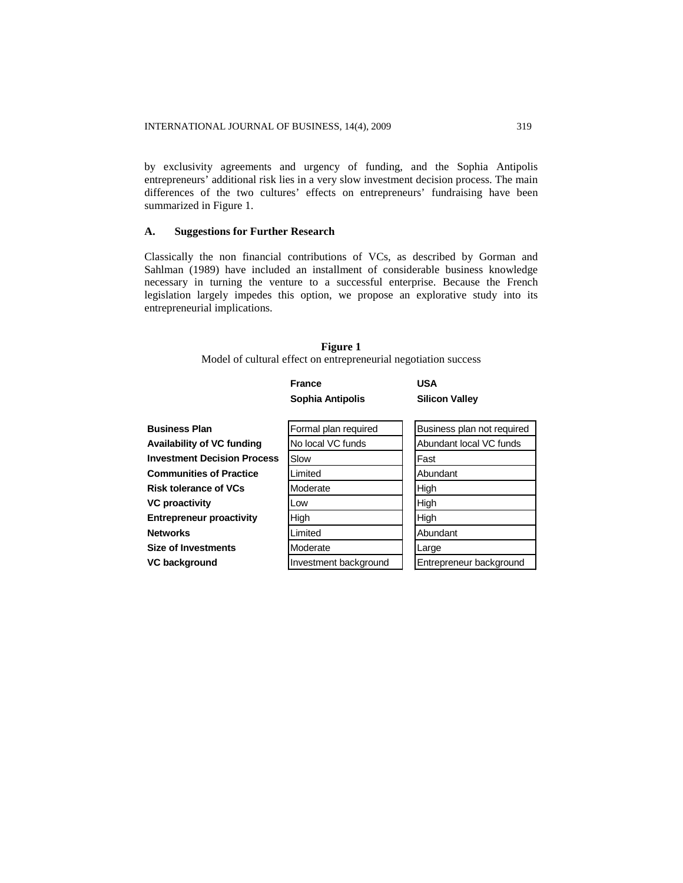by exclusivity agreements and urgency of funding, and the Sophia Antipolis entrepreneurs' additional risk lies in a very slow investment decision process. The main differences of the two cultures' effects on entrepreneurs' fundraising have been summarized in Figure 1.

## **A. Suggestions for Further Research**

Classically the non financial contributions of VCs, as described by Gorman and Sahlman (1989) have included an installment of considerable business knowledge necessary in turning the venture to a successful enterprise. Because the French legislation largely impedes this option, we propose an explorative study into its entrepreneurial implications.

## **Figure 1** Model of cultural effect on entrepreneurial negotiation success

|                      | France<br>Sophia Antipolis | USA<br><b>Silicon Valley</b> |
|----------------------|----------------------------|------------------------------|
|                      |                            |                              |
| <b>Business Plan</b> | Formal plan required       | Business plan not required   |

| <b>Business Plan</b>               | Formal plan required  | Business plan not required |
|------------------------------------|-----------------------|----------------------------|
| <b>Availability of VC funding</b>  | No local VC funds     | Abundant local VC funds    |
| <b>Investment Decision Process</b> | Slow                  | Fast                       |
| <b>Communities of Practice</b>     | Limited               | Abundant                   |
| <b>Risk tolerance of VCs</b>       | Moderate              | High                       |
| <b>VC proactivity</b>              | Low                   | High                       |
| <b>Entrepreneur proactivity</b>    | High                  | High                       |
| <b>Networks</b>                    | Limited               | Abundant                   |
| <b>Size of Investments</b>         | Moderate              | Large                      |
| VC background                      | Investment background | Entrepreneur background    |